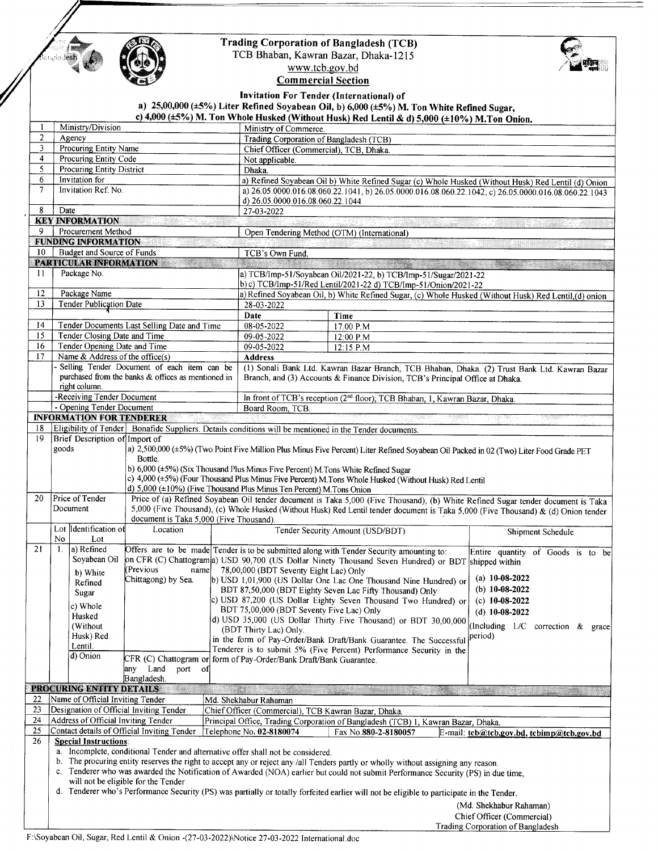

.<br>Iesh

## **Trading Corporation of Bangladesh (TCB)**

TCB Bhaban, Kawran Bazar, Dhaka-1215

्ति ।<br>सर्वे ।

www.tcb.gov.bd **Commercial Section** 

Invitation For Tender (International) of

| <b>Invitation For Tenuer (International)</b> of<br>a) $25,00,000$ ( $\pm 5\%$ ) Liter Refined Soyabean Oil, b) 6,000 ( $\pm 5\%$ ) M. Ton White Refined Sugar,<br>c) 4,000 ( $\pm$ 5%) M. Ton Whole Husked (Without Husk) Red Lentil & d) 5,000 ( $\pm$ 10%) M. Ton Onion. |                                                                                                                                                                                                                                                                                                       |                                                                    |                                              |                                                                                                                                                                                                             |                                   |                                              |  |  |
|----------------------------------------------------------------------------------------------------------------------------------------------------------------------------------------------------------------------------------------------------------------------------|-------------------------------------------------------------------------------------------------------------------------------------------------------------------------------------------------------------------------------------------------------------------------------------------------------|--------------------------------------------------------------------|----------------------------------------------|-------------------------------------------------------------------------------------------------------------------------------------------------------------------------------------------------------------|-----------------------------------|----------------------------------------------|--|--|
|                                                                                                                                                                                                                                                                            | Ministry/Division                                                                                                                                                                                                                                                                                     |                                                                    |                                              | Ministry of Commerce.                                                                                                                                                                                       |                                   |                                              |  |  |
| $\overline{c}$                                                                                                                                                                                                                                                             | Agency                                                                                                                                                                                                                                                                                                |                                                                    |                                              | Trading Corporation of Bangladesh (TCB)                                                                                                                                                                     |                                   |                                              |  |  |
| $\overline{\mathbf{3}}$                                                                                                                                                                                                                                                    | Procuring Entity Name                                                                                                                                                                                                                                                                                 |                                                                    |                                              | Chief Officer (Commercial), TCB, Dhaka.                                                                                                                                                                     |                                   |                                              |  |  |
| $\overline{4}$                                                                                                                                                                                                                                                             | Procuring Entity Code<br><b>Procuring Entity District</b>                                                                                                                                                                                                                                             |                                                                    |                                              | Not applicable.                                                                                                                                                                                             |                                   |                                              |  |  |
| 5<br>6                                                                                                                                                                                                                                                                     | Invitation for                                                                                                                                                                                                                                                                                        |                                                                    | Dhaka.                                       |                                                                                                                                                                                                             |                                   |                                              |  |  |
| $\overline{7}$                                                                                                                                                                                                                                                             | Invitation Ref. No.                                                                                                                                                                                                                                                                                   |                                                                    |                                              | a) Refined Soyabean Oil b) White Refined Sugar (c) Whole Husked (Without Husk) Red Lentil (d) Onion<br>a) 26.05.0000.016.08.060.22.1041, b) 26.05.0000.016.08.060.22.1042, c) 26.05.0000.016.08.060.22.1043 |                                   |                                              |  |  |
|                                                                                                                                                                                                                                                                            |                                                                                                                                                                                                                                                                                                       |                                                                    | d) 26.05.0000.016.08.060.22.1044             |                                                                                                                                                                                                             |                                   |                                              |  |  |
| 8                                                                                                                                                                                                                                                                          | Date                                                                                                                                                                                                                                                                                                  |                                                                    |                                              | 27-03-2022                                                                                                                                                                                                  |                                   |                                              |  |  |
|                                                                                                                                                                                                                                                                            | <b>KEY INFORMATION</b>                                                                                                                                                                                                                                                                                |                                                                    |                                              |                                                                                                                                                                                                             |                                   |                                              |  |  |
| 9                                                                                                                                                                                                                                                                          | Procurement Method                                                                                                                                                                                                                                                                                    |                                                                    |                                              | Open Tendering Method (OTM) (International)                                                                                                                                                                 |                                   |                                              |  |  |
|                                                                                                                                                                                                                                                                            | <b>FUNDING INFORMATION</b>                                                                                                                                                                                                                                                                            |                                                                    |                                              |                                                                                                                                                                                                             |                                   |                                              |  |  |
| 10 <sup>°</sup>                                                                                                                                                                                                                                                            | Budget and Source of Funds<br>PARTICULAR INFORMATION                                                                                                                                                                                                                                                  |                                                                    | TCB's Own Fund.                              |                                                                                                                                                                                                             |                                   |                                              |  |  |
| 11                                                                                                                                                                                                                                                                         | Package No.                                                                                                                                                                                                                                                                                           |                                                                    |                                              | <b>The company's company's company's and the company's company's company's company's company's and the company's</b><br>a) TCB/Imp-51/Soyabean Oil/2021-22, b) TCB/Imp-51/Sugar/2021-22                     |                                   |                                              |  |  |
|                                                                                                                                                                                                                                                                            |                                                                                                                                                                                                                                                                                                       |                                                                    |                                              | b) c) TCB/Imp-51/Red Lentil/2021-22 d) TCB/Imp-51/Onion/2021-22                                                                                                                                             |                                   |                                              |  |  |
| 12                                                                                                                                                                                                                                                                         | Package Name                                                                                                                                                                                                                                                                                          |                                                                    |                                              | a) Refined Soyabean Oil, b) White Refined Sugar, (c) Whole Husked (Without Husk) Red Lentil, (d) onion                                                                                                      |                                   |                                              |  |  |
| 13                                                                                                                                                                                                                                                                         | Tender Publication Date                                                                                                                                                                                                                                                                               |                                                                    | 28-03-2022                                   |                                                                                                                                                                                                             |                                   |                                              |  |  |
|                                                                                                                                                                                                                                                                            |                                                                                                                                                                                                                                                                                                       |                                                                    | Date                                         | Time                                                                                                                                                                                                        |                                   |                                              |  |  |
| 14                                                                                                                                                                                                                                                                         | Tender Documents Last Selling Date and Time                                                                                                                                                                                                                                                           |                                                                    | 08-05-2022                                   | 17.00 P.M                                                                                                                                                                                                   |                                   |                                              |  |  |
| 15<br>16                                                                                                                                                                                                                                                                   | Tender Closing Date and Time                                                                                                                                                                                                                                                                          |                                                                    | 09-05-2022<br>09-05-2022                     | 12:00 P.M                                                                                                                                                                                                   |                                   |                                              |  |  |
| 17                                                                                                                                                                                                                                                                         |                                                                                                                                                                                                                                                                                                       | Tender Opening Date and Time<br>Name $\&$ Address of the office(s) |                                              | 12:15 P.M                                                                                                                                                                                                   |                                   |                                              |  |  |
|                                                                                                                                                                                                                                                                            | Selling Tender Document of each item can be                                                                                                                                                                                                                                                           |                                                                    |                                              | <b>Address</b><br>(1) Sonali Bank Ltd. Kawran Bazar Branch, TCB Bhaban, Dhaka. (2) Trust Bank Ltd. Kawran Bazar                                                                                             |                                   |                                              |  |  |
|                                                                                                                                                                                                                                                                            |                                                                                                                                                                                                                                                                                                       | purchased from the banks & offices as mentioned in                 |                                              | Branch, and (3) Accounts & Finance Division, TCB's Principal Office at Dhaka.                                                                                                                               |                                   |                                              |  |  |
|                                                                                                                                                                                                                                                                            | right column.<br>-Receiving Tender Document                                                                                                                                                                                                                                                           |                                                                    |                                              | In front of TCB's reception (2 <sup>nd</sup> floor), TCB Bhaban, 1, Kawran Bazar, Dhaka.                                                                                                                    |                                   |                                              |  |  |
|                                                                                                                                                                                                                                                                            | - Opening Tender Document                                                                                                                                                                                                                                                                             |                                                                    | Board Room, TCB.                             |                                                                                                                                                                                                             |                                   |                                              |  |  |
|                                                                                                                                                                                                                                                                            | <b>INFORMATION FOR TENDERER</b>                                                                                                                                                                                                                                                                       |                                                                    |                                              |                                                                                                                                                                                                             |                                   |                                              |  |  |
| 18                                                                                                                                                                                                                                                                         |                                                                                                                                                                                                                                                                                                       |                                                                    |                                              | Eligibility of Tender   Bonafide Suppliers. Details conditions will be mentioned in the Tender documents.                                                                                                   |                                   |                                              |  |  |
| 19                                                                                                                                                                                                                                                                         | Brief Description of Import of                                                                                                                                                                                                                                                                        |                                                                    |                                              |                                                                                                                                                                                                             |                                   |                                              |  |  |
|                                                                                                                                                                                                                                                                            | goods<br>a) 2,500,000 (±5%) (Two Point Five Million Plus Minus Five Percent) Liter Refined Soyabean Oil Packed in 02 (Two) Liter Food Grade PET<br>Bottle.                                                                                                                                            |                                                                    |                                              |                                                                                                                                                                                                             |                                   |                                              |  |  |
|                                                                                                                                                                                                                                                                            | b) 6,000 (±5%) (Six Thousand Plus Minus Five Percent) M. Tons White Refined Sugar                                                                                                                                                                                                                     |                                                                    |                                              |                                                                                                                                                                                                             |                                   |                                              |  |  |
|                                                                                                                                                                                                                                                                            | c) 4,000 (±5%) (Four Thousand Plus Minus Five Percent) M.Tons Whole Husked (Without Husk) Red Lentil                                                                                                                                                                                                  |                                                                    |                                              |                                                                                                                                                                                                             |                                   |                                              |  |  |
|                                                                                                                                                                                                                                                                            | d) $5,000 \ (\pm 10\%)$ (Five Thousand Plus Minus Ten Percent) M. Tons Onion                                                                                                                                                                                                                          |                                                                    |                                              |                                                                                                                                                                                                             |                                   |                                              |  |  |
| 20                                                                                                                                                                                                                                                                         | Price of Tender<br>Price of (a) Refined Soyabean Oil tender document is Taka 5,000 (Five Thousand), (b) White Refined Sugar tender document is Taka<br>Document<br>5,000 (Five Thousand), (c) Whole Husked (Without Husk) Red Lentil tender document is Taka 5,000 (Five Thousand) & (d) Onion tender |                                                                    |                                              |                                                                                                                                                                                                             |                                   |                                              |  |  |
|                                                                                                                                                                                                                                                                            |                                                                                                                                                                                                                                                                                                       | document is Taka 5,000 (Five Thousand).                            |                                              |                                                                                                                                                                                                             |                                   |                                              |  |  |
|                                                                                                                                                                                                                                                                            | Lot Identification of                                                                                                                                                                                                                                                                                 | Location                                                           |                                              | Tender Security Amount (USD/BDT)                                                                                                                                                                            |                                   | Shipment Schedule                            |  |  |
|                                                                                                                                                                                                                                                                            | No<br>Lot                                                                                                                                                                                                                                                                                             |                                                                    |                                              |                                                                                                                                                                                                             |                                   |                                              |  |  |
| 21                                                                                                                                                                                                                                                                         | a) Refined<br>1.                                                                                                                                                                                                                                                                                      |                                                                    |                                              | Offers are to be made Tender is to be submitted along with Tender Security amounting to:                                                                                                                    |                                   | Entire quantity of Goods is to be            |  |  |
|                                                                                                                                                                                                                                                                            | Soyabean Oil                                                                                                                                                                                                                                                                                          | (Previous)                                                         |                                              | on CFR (C) Chattogram a) USD 90,700 (US Dollar Ninety Thousand Seven Hundred) or BDT shipped within                                                                                                         |                                   |                                              |  |  |
|                                                                                                                                                                                                                                                                            | b) White                                                                                                                                                                                                                                                                                              |                                                                    | name 78,00,000 (BDT Seventy Eight Lac) Only  | Chittagong) by Sea.   b) USD 1,01,900 (US Dollar One Lac One Thousand Nine Hundred) or                                                                                                                      | (a) $10-08-2022$                  |                                              |  |  |
|                                                                                                                                                                                                                                                                            | Refined<br>Sugar                                                                                                                                                                                                                                                                                      |                                                                    |                                              | BDT 87,50,000 (BDT Eighty Seven Lac Fifty Thousand) Only                                                                                                                                                    | (b) $10-08-2022$                  |                                              |  |  |
|                                                                                                                                                                                                                                                                            |                                                                                                                                                                                                                                                                                                       |                                                                    |                                              | c) USD 87,200 (US Dollar Eighty Seven Thousand Two Hundred) or                                                                                                                                              | (c) $10-08-2022$                  |                                              |  |  |
|                                                                                                                                                                                                                                                                            | c) Whole<br>Husked                                                                                                                                                                                                                                                                                    |                                                                    | BDT 75,00,000 (BDT Seventy Five Lac) Only    |                                                                                                                                                                                                             | (d) $10-08-2022$                  |                                              |  |  |
|                                                                                                                                                                                                                                                                            | (Without)                                                                                                                                                                                                                                                                                             |                                                                    | (BDT Thirty Lac) Only.                       | d) USD 35,000 (US Dollar Thirty Five Thousand) or BDT 30,00,000                                                                                                                                             |                                   | (Including L/C correction & grace)           |  |  |
|                                                                                                                                                                                                                                                                            | Husk) Red                                                                                                                                                                                                                                                                                             |                                                                    |                                              | in the form of Pay-Order/Bank Draft/Bank Guarantee. The Successful                                                                                                                                          | period)                           |                                              |  |  |
|                                                                                                                                                                                                                                                                            | Lentil.                                                                                                                                                                                                                                                                                               |                                                                    |                                              | Tenderer is to submit 5% (Five Percent) Performance Security in the                                                                                                                                         |                                   |                                              |  |  |
|                                                                                                                                                                                                                                                                            | d) Onion                                                                                                                                                                                                                                                                                              | CFR (C) Chattogram or                                              | form of Pay-Order/Bank Draft/Bank Guarantee. |                                                                                                                                                                                                             |                                   |                                              |  |  |
|                                                                                                                                                                                                                                                                            |                                                                                                                                                                                                                                                                                                       | any Land<br>port of                                                |                                              |                                                                                                                                                                                                             |                                   |                                              |  |  |
|                                                                                                                                                                                                                                                                            | PROCURING ENTITY DETAILS                                                                                                                                                                                                                                                                              | Bangladesh.                                                        |                                              |                                                                                                                                                                                                             |                                   |                                              |  |  |
| 22                                                                                                                                                                                                                                                                         | Name of Official Inviting Tender                                                                                                                                                                                                                                                                      |                                                                    | Md. Shekhabur Rahaman                        |                                                                                                                                                                                                             |                                   |                                              |  |  |
| 23                                                                                                                                                                                                                                                                         |                                                                                                                                                                                                                                                                                                       | Designation of Official Inviting Tender                            |                                              | Chief Officer (Commercial), TCB Kawran Bazar, Dhaka.                                                                                                                                                        |                                   |                                              |  |  |
| 24                                                                                                                                                                                                                                                                         | Address of Official Inviting Tender                                                                                                                                                                                                                                                                   |                                                                    |                                              | Principal Office, Trading Corporation of Bangladesh (TCB) 1, Kawran Bazar, Dhaka.                                                                                                                           |                                   |                                              |  |  |
| 25                                                                                                                                                                                                                                                                         | Contact details of Official Inviting Tender                                                                                                                                                                                                                                                           |                                                                    | Telephone No. 02-8180074                     | Fax No.880-2-8180057                                                                                                                                                                                        |                                   | $E$ -mail: tcb@tcb.gov.bd, tcbimp@tcb.gov.bd |  |  |
| 26                                                                                                                                                                                                                                                                         | <b>Special Instructions:</b>                                                                                                                                                                                                                                                                          |                                                                    |                                              |                                                                                                                                                                                                             |                                   |                                              |  |  |
|                                                                                                                                                                                                                                                                            | a. Incomplete, conditional Tender and alternative offer shall not be considered.                                                                                                                                                                                                                      |                                                                    |                                              |                                                                                                                                                                                                             |                                   |                                              |  |  |
|                                                                                                                                                                                                                                                                            | b. The procuring entity reserves the right to accept any or reject any /all Tenders partly or wholly without assigning any reason.<br>c. Tenderer who was awarded the Notification of Awarded (NOA) earlier but could not submit Performance Security (PS) in due time,                               |                                                                    |                                              |                                                                                                                                                                                                             |                                   |                                              |  |  |
|                                                                                                                                                                                                                                                                            | will not be eligible for the Tender                                                                                                                                                                                                                                                                   |                                                                    |                                              |                                                                                                                                                                                                             |                                   |                                              |  |  |
|                                                                                                                                                                                                                                                                            | d. Tenderer who's Performance Security (PS) was partially or totally forfeited earlier will not be eligible to participate in the Tender.                                                                                                                                                             |                                                                    |                                              |                                                                                                                                                                                                             |                                   |                                              |  |  |
|                                                                                                                                                                                                                                                                            |                                                                                                                                                                                                                                                                                                       |                                                                    |                                              |                                                                                                                                                                                                             | (Md. Shekhabur Rahaman)           |                                              |  |  |
|                                                                                                                                                                                                                                                                            |                                                                                                                                                                                                                                                                                                       |                                                                    |                                              |                                                                                                                                                                                                             | Chief Officer (Commercial)        |                                              |  |  |
|                                                                                                                                                                                                                                                                            |                                                                                                                                                                                                                                                                                                       |                                                                    |                                              |                                                                                                                                                                                                             | Trading Corporation of Bangladesh |                                              |  |  |